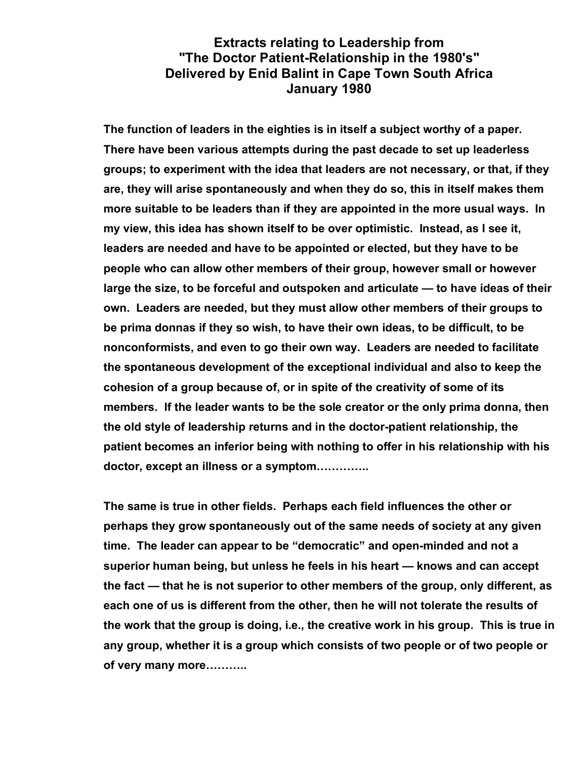## **Extracts relating to Leadership from "The Doctor Patient-Relationship in the 1980's" Delivered by Enid Balint in Cape Town South Africa January 1980**

**The function of leaders in the eighties is in itself a subject worthy of a paper. There have been various attempts during the past decade to set up leaderless groups; to experiment with the idea that leaders are not necessary, or that, if they are, they will arise spontaneously and when they do so, this in itself makes them more suitable to be leaders than if they are appointed in the more usual ways. In my view, this idea has shown itself to be over optimistic. Instead, as I see it, leaders are needed and have to be appointed or elected, but they have to be people who can allow other members of their group, however small or however large the size, to be forceful and outspoken and articulate — to have ideas of their own. Leaders are needed, but they must allow other members of their groups to be prima donnas if they so wish, to have their own ideas, to be difficult, to be nonconformists, and even to go their own way. Leaders are needed to facilitate the spontaneous development of the exceptional individual and also to keep the cohesion of a group because of, or in spite of the creativity of some of its members. If the leader wants to be the sole creator or the only prima donna, then the old style of leadership returns and in the doctor-patient relationship, the patient becomes an inferior being with nothing to offer in his relationship with his doctor, except an illness or a symptom…………..**

**The same is true in other fields. Perhaps each field influences the other or perhaps they grow spontaneously out of the same needs of society at any given time. The leader can appear to be "democratic" and open-minded and not a superior human being, but unless he feels in his heart — knows and can accept the fact — that he is not superior to other members of the group, only different, as each one of us is different from the other, then he will not tolerate the results of the work that the group is doing, i.e., the creative work in his group. This is true in any group, whether it is a group which consists of two people or of two people or of very many more………..**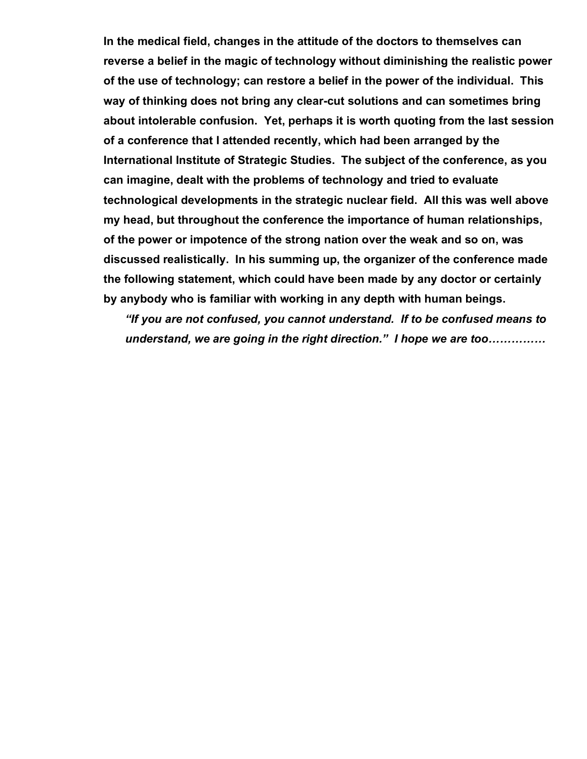**In the medical field, changes in the attitude of the doctors to themselves can reverse a belief in the magic of technology without diminishing the realistic power of the use of technology; can restore a belief in the power of the individual. This way of thinking does not bring any clear-cut solutions and can sometimes bring about intolerable confusion. Yet, perhaps it is worth quoting from the last session of a conference that I attended recently, which had been arranged by the International Institute of Strategic Studies. The subject of the conference, as you can imagine, dealt with the problems of technology and tried to evaluate technological developments in the strategic nuclear field. All this was well above my head, but throughout the conference the importance of human relationships, of the power or impotence of the strong nation over the weak and so on, was discussed realistically. In his summing up, the organizer of the conference made the following statement, which could have been made by any doctor or certainly by anybody who is familiar with working in any depth with human beings.**

*"If you are not confused, you cannot understand. If to be confused means to understand, we are going in the right direction." I hope we are too……………*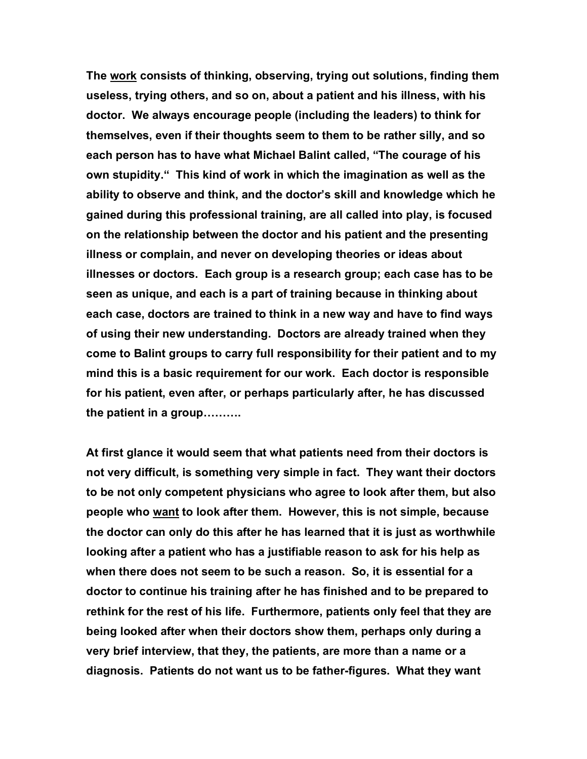**The work consists of thinking, observing, trying out solutions, finding them useless, trying others, and so on, about a patient and his illness, with his doctor. We always encourage people (including the leaders) to think for themselves, even if their thoughts seem to them to be rather silly, and so each person has to have what Michael Balint called, "The courage of his own stupidity." This kind of work in which the imagination as well as the ability to observe and think, and the doctor's skill and knowledge which he gained during this professional training, are all called into play, is focused on the relationship between the doctor and his patient and the presenting illness or complain, and never on developing theories or ideas about illnesses or doctors. Each group is a research group; each case has to be seen as unique, and each is a part of training because in thinking about each case, doctors are trained to think in a new way and have to find ways of using their new understanding. Doctors are already trained when they come to Balint groups to carry full responsibility for their patient and to my mind this is a basic requirement for our work. Each doctor is responsible for his patient, even after, or perhaps particularly after, he has discussed the patient in a group……….**

**At first glance it would seem that what patients need from their doctors is not very difficult, is something very simple in fact. They want their doctors to be not only competent physicians who agree to look after them, but also people who want to look after them. However, this is not simple, because the doctor can only do this after he has learned that it is just as worthwhile looking after a patient who has a justifiable reason to ask for his help as when there does not seem to be such a reason. So, it is essential for a doctor to continue his training after he has finished and to be prepared to rethink for the rest of his life. Furthermore, patients only feel that they are being looked after when their doctors show them, perhaps only during a very brief interview, that they, the patients, are more than a name or a diagnosis. Patients do not want us to be father-figures. What they want**